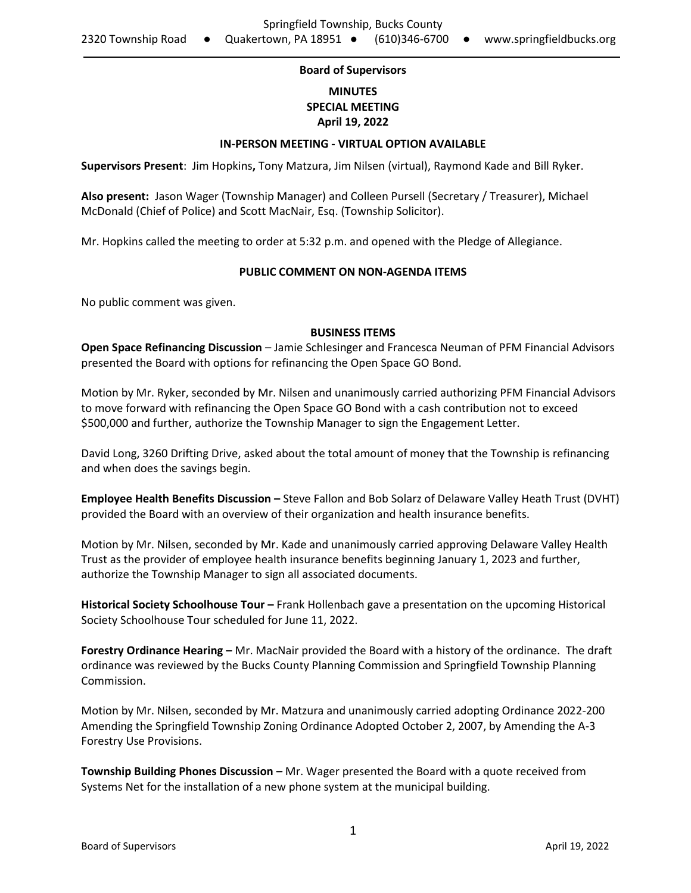### **Board of Supervisors**

# **MINUTES SPECIAL MEETING April 19, 2022**

#### **IN-PERSON MEETING - VIRTUAL OPTION AVAILABLE**

**Supervisors Present**: Jim Hopkins**,** Tony Matzura, Jim Nilsen (virtual), Raymond Kade and Bill Ryker.

**Also present:** Jason Wager (Township Manager) and Colleen Pursell (Secretary / Treasurer), Michael McDonald (Chief of Police) and Scott MacNair, Esq. (Township Solicitor).

Mr. Hopkins called the meeting to order at 5:32 p.m. and opened with the Pledge of Allegiance.

#### **PUBLIC COMMENT ON NON-AGENDA ITEMS**

No public comment was given.

#### **BUSINESS ITEMS**

**Open Space Refinancing Discussion** – Jamie Schlesinger and Francesca Neuman of PFM Financial Advisors presented the Board with options for refinancing the Open Space GO Bond.

Motion by Mr. Ryker, seconded by Mr. Nilsen and unanimously carried authorizing PFM Financial Advisors to move forward with refinancing the Open Space GO Bond with a cash contribution not to exceed \$500,000 and further, authorize the Township Manager to sign the Engagement Letter.

David Long, 3260 Drifting Drive, asked about the total amount of money that the Township is refinancing and when does the savings begin.

**Employee Health Benefits Discussion –** Steve Fallon and Bob Solarz of Delaware Valley Heath Trust (DVHT) provided the Board with an overview of their organization and health insurance benefits.

Motion by Mr. Nilsen, seconded by Mr. Kade and unanimously carried approving Delaware Valley Health Trust as the provider of employee health insurance benefits beginning January 1, 2023 and further, authorize the Township Manager to sign all associated documents.

**Historical Society Schoolhouse Tour –** Frank Hollenbach gave a presentation on the upcoming Historical Society Schoolhouse Tour scheduled for June 11, 2022.

**Forestry Ordinance Hearing –** Mr. MacNair provided the Board with a history of the ordinance. The draft ordinance was reviewed by the Bucks County Planning Commission and Springfield Township Planning Commission.

Motion by Mr. Nilsen, seconded by Mr. Matzura and unanimously carried adopting Ordinance 2022-200 Amending the Springfield Township Zoning Ordinance Adopted October 2, 2007, by Amending the A-3 Forestry Use Provisions.

**Township Building Phones Discussion –** Mr. Wager presented the Board with a quote received from Systems Net for the installation of a new phone system at the municipal building.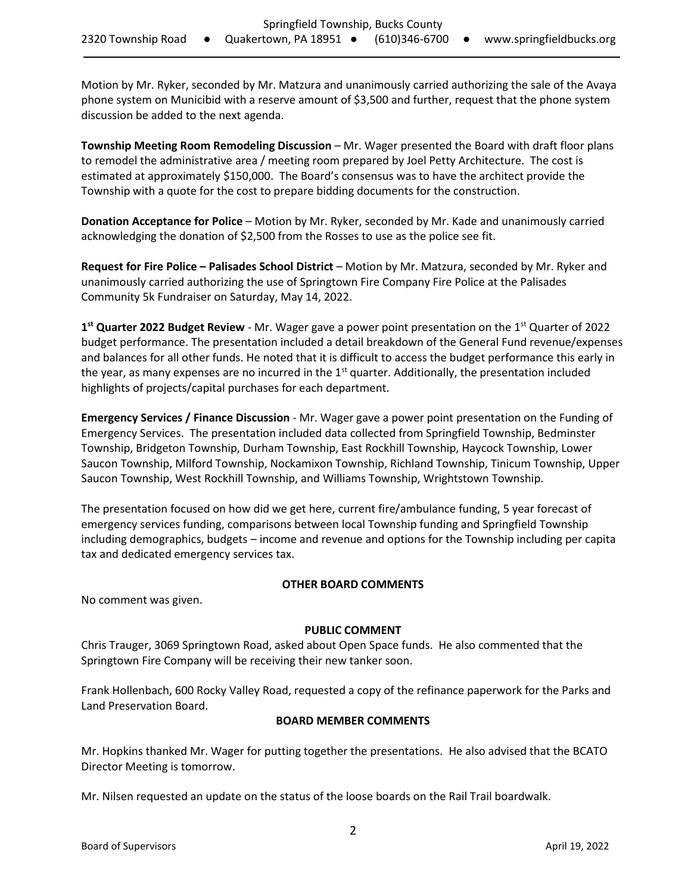Motion by Mr. Ryker, seconded by Mr. Matzura and unanimously carried authorizing the sale of the Avaya phone system on Municibid with a reserve amount of \$3,500 and further, request that the phone system discussion be added to the next agenda.

**Township Meeting Room Remodeling Discussion** – Mr. Wager presented the Board with draft floor plans to remodel the administrative area / meeting room prepared by Joel Petty Architecture. The cost is estimated at approximately \$150,000. The Board's consensus was to have the architect provide the Township with a quote for the cost to prepare bidding documents for the construction.

**Donation Acceptance for Police** – Motion by Mr. Ryker, seconded by Mr. Kade and unanimously carried acknowledging the donation of \$2,500 from the Rosses to use as the police see fit.

**Request for Fire Police – Palisades School District** – Motion by Mr. Matzura, seconded by Mr. Ryker and unanimously carried authorizing the use of Springtown Fire Company Fire Police at the Palisades Community 5k Fundraiser on Saturday, May 14, 2022.

**1 st Quarter 2022 Budget Review** - Mr. Wager gave a power point presentation on the 1st Quarter of 2022 budget performance. The presentation included a detail breakdown of the General Fund revenue/expenses and balances for all other funds. He noted that it is difficult to access the budget performance this early in the year, as many expenses are no incurred in the  $1<sup>st</sup>$  quarter. Additionally, the presentation included highlights of projects/capital purchases for each department.

**Emergency Services / Finance Discussion** - Mr. Wager gave a power point presentation on the Funding of Emergency Services. The presentation included data collected from Springfield Township, Bedminster Township, Bridgeton Township, Durham Township, East Rockhill Township, Haycock Township, Lower Saucon Township, Milford Township, Nockamixon Township, Richland Township, Tinicum Township, Upper Saucon Township, West Rockhill Township, and Williams Township, Wrightstown Township.

The presentation focused on how did we get here, current fire/ambulance funding, 5 year forecast of emergency services funding, comparisons between local Township funding and Springfield Township including demographics, budgets – income and revenue and options for the Township including per capita tax and dedicated emergency services tax.

### **OTHER BOARD COMMENTS**

No comment was given.

## **PUBLIC COMMENT**

Chris Trauger, 3069 Springtown Road, asked about Open Space funds. He also commented that the Springtown Fire Company will be receiving their new tanker soon.

Frank Hollenbach, 600 Rocky Valley Road, requested a copy of the refinance paperwork for the Parks and Land Preservation Board.

### **BOARD MEMBER COMMENTS**

Mr. Hopkins thanked Mr. Wager for putting together the presentations. He also advised that the BCATO Director Meeting is tomorrow.

Mr. Nilsen requested an update on the status of the loose boards on the Rail Trail boardwalk.